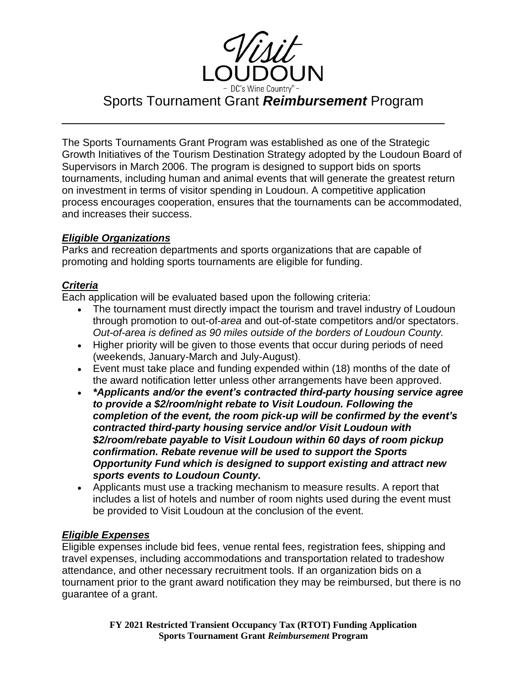

The Sports Tournaments Grant Program was established as one of the Strategic Growth Initiatives of the Tourism Destination Strategy adopted by the Loudoun Board of Supervisors in March 2006. The program is designed to support bids on sports tournaments, including human and animal events that will generate the greatest return on investment in terms of visitor spending in Loudoun. A competitive application process encourages cooperation, ensures that the tournaments can be accommodated, and increases their success.

# *Eligible Organizations*

Parks and recreation departments and sports organizations that are capable of promoting and holding sports tournaments are eligible for funding.

## *Criteria*

Each application will be evaluated based upon the following criteria:

- The tournament must directly impact the tourism and travel industry of Loudoun through promotion to out-of-*area* and out-of-state competitors and/or spectators. *Out-of-area is defined as 90 miles outside of the borders of Loudoun County.*
- Higher priority will be given to those events that occur during periods of need (weekends, January-March and July-August).
- Event must take place and funding expended within (18) months of the date of the award notification letter unless other arrangements have been approved.
- *\*Applicants and/or the event's contracted third-party housing service agree to provide a \$2/room/night rebate to Visit Loudoun. Following the completion of the event, the room pick-up will be confirmed by the event's contracted third-party housing service and/or Visit Loudoun with \$2/room/rebate payable to Visit Loudoun within 60 days of room pickup confirmation. Rebate revenue will be used to support the Sports Opportunity Fund which is designed to support existing and attract new sports events to Loudoun County.*
- Applicants must use a tracking mechanism to measure results. A report that includes a list of hotels and number of room nights used during the event must be provided to Visit Loudoun at the conclusion of the event.

# *Eligible Expenses*

Eligible expenses include bid fees, venue rental fees, registration fees, shipping and travel expenses, including accommodations and transportation related to tradeshow attendance, and other necessary recruitment tools. If an organization bids on a tournament prior to the grant award notification they may be reimbursed, but there is no guarantee of a grant.

> **FY 2021 Restricted Transient Occupancy Tax (RTOT) Funding Application Sports Tournament Grant** *Reimbursement* **Program**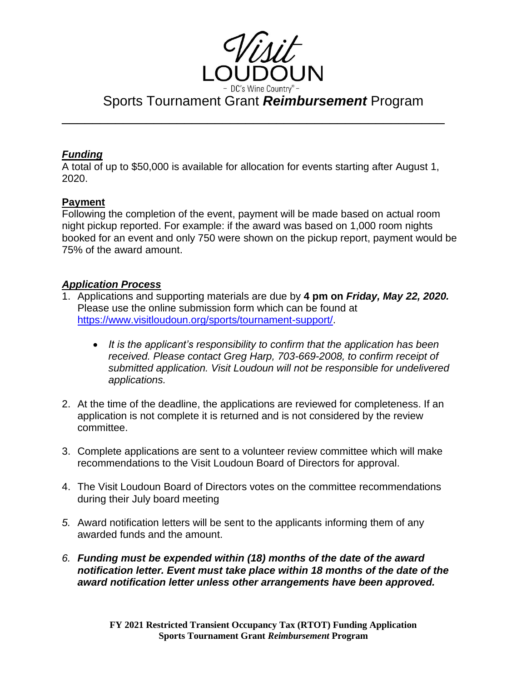

### *Funding*

A total of up to \$50,000 is available for allocation for events starting after August 1, 2020.

## **Payment**

Following the completion of the event, payment will be made based on actual room night pickup reported. For example: if the award was based on 1,000 room nights booked for an event and only 750 were shown on the pickup report, payment would be 75% of the award amount.

### *Application Process*

- 1. Applications and supporting materials are due by **4 pm on** *Friday, May 22, 2020.* Please use the online submission form which can be found at [https://www.visitloudoun.org/sports/tournament-support/.](https://www.visitloudoun.org/sports/tournament-support/)
	- *It is the applicant's responsibility to confirm that the application has been received. Please contact Greg Harp, 703-669-2008, to confirm receipt of submitted application. Visit Loudoun will not be responsible for undelivered applications.*
- 2. At the time of the deadline, the applications are reviewed for completeness. If an application is not complete it is returned and is not considered by the review committee.
- 3. Complete applications are sent to a volunteer review committee which will make recommendations to the Visit Loudoun Board of Directors for approval.
- 4. The Visit Loudoun Board of Directors votes on the committee recommendations during their July board meeting
- *5.* Award notification letters will be sent to the applicants informing them of any awarded funds and the amount.
- *6. Funding must be expended within (18) months of the date of the award notification letter. Event must take place within 18 months of the date of the award notification letter unless other arrangements have been approved.*